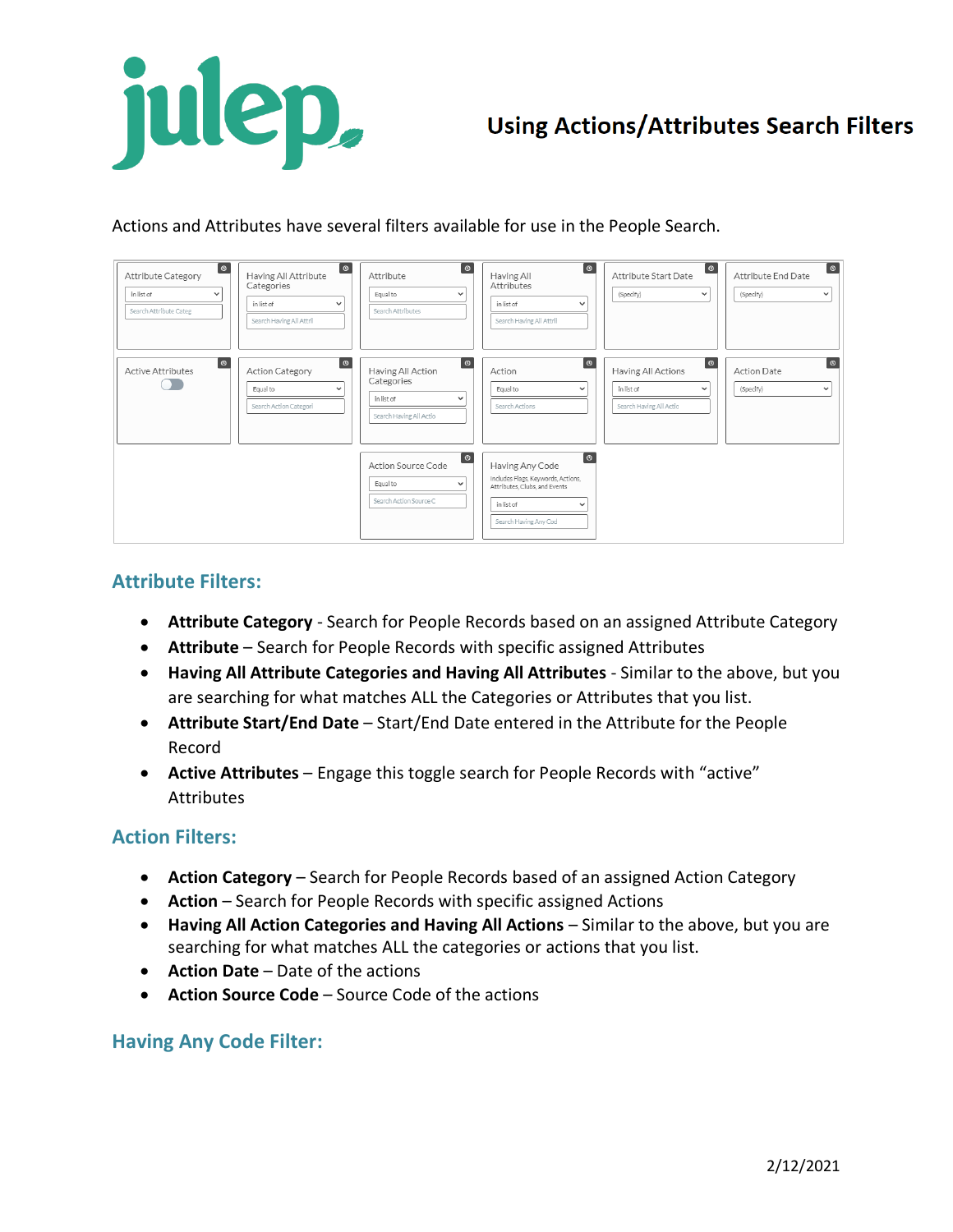

## **Using Actions/Attributes Search Filters**

Actions and Attributes have several filters available for use in the People Search.

| $\bullet$<br><b>Attribute Category</b><br>in list of<br>$\checkmark$<br>Search Attribute Categ | $\boxed{\circ}$<br>Having All Attribute<br>Categories<br>in list of<br>$\check{ }$<br>Search Having All Attril | <b>O</b><br>Attribute<br>Equal to<br>$\checkmark$<br>Search Attributes                        | $\circ$<br>Having All<br>Attributes<br>in list of<br>$\checkmark$<br>Search Having All Attril                                                              | <u>( စ</u><br>Attribute Start Date<br>(Specify)<br>$\checkmark$                    | <b>O</b><br>Attribute End Date<br>(Specify)<br>$\checkmark$  |
|------------------------------------------------------------------------------------------------|----------------------------------------------------------------------------------------------------------------|-----------------------------------------------------------------------------------------------|------------------------------------------------------------------------------------------------------------------------------------------------------------|------------------------------------------------------------------------------------|--------------------------------------------------------------|
| $\bullet$<br><b>Active Attributes</b>                                                          | <u>(စ</u><br>Action Category<br>Equal to<br>$\check{ }$<br>Search Action Categori                              | စ<br>Having All Action<br>Categories<br>in list of<br>$\checkmark$<br>Search Having All Actio | $\bullet$<br>Action<br>Equal to<br>$\checkmark$<br>Search Actions                                                                                          | [ ဇ<br>Having All Actions<br>in list of<br>$\checkmark$<br>Search Having All Actio | $\bullet$<br><b>Action Date</b><br>(Specify)<br>$\checkmark$ |
|                                                                                                |                                                                                                                | $\boxed{\circ}$<br>Action Source Code<br>Equal to<br>$\checkmark$<br>Search Action Source C   | $\bullet$<br>Having Any Code<br>Includes Flags, Keywords, Actions,<br>Attributes, Clubs, and Events<br>in list of<br>$\checkmark$<br>Search Having Any Cod |                                                                                    |                                                              |

## **Attribute Filters:**

- **Attribute Category** Search for People Records based on an assigned Attribute Category
- **Attribute** Search for People Records with specific assigned Attributes
- **Having All Attribute Categories and Having All Attributes** Similar to the above, but you are searching for what matches ALL the Categories or Attributes that you list.
- **Attribute Start/End Date** Start/End Date entered in the Attribute for the People Record
- **Active Attributes** Engage this toggle search for People Records with "active" **Attributes**

## **Action Filters:**

- **Action Category** Search for People Records based of an assigned Action Category
- **Action** Search for People Records with specific assigned Actions
- **Having All Action Categories and Having All Actions** Similar to the above, but you are searching for what matches ALL the categories or actions that you list.
- **Action Date** Date of the actions
- **Action Source Code** Source Code of the actions

## **Having Any Code Filter:**